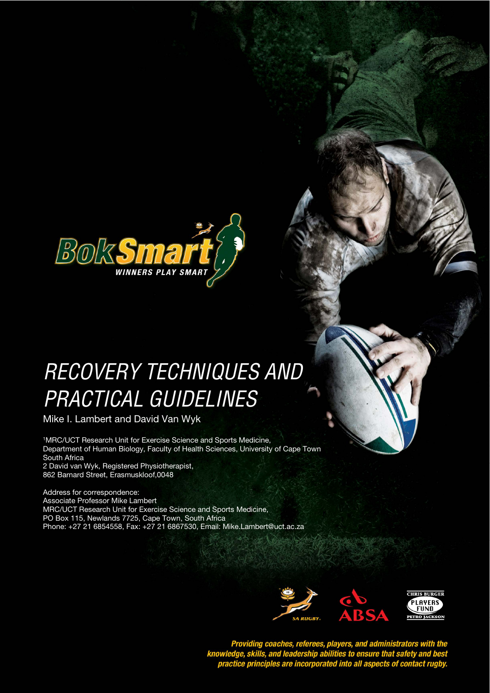

# RECOVERY TECHNIQUES AND **STYLE HEADING FOR TABLES**  PRACTICAL GUIDELINES

Mike I. Lambert and David Van Wyk

<sup>1</sup>MRC/UCT Research Unit for Exercise Science and Sports Medicine, Department of Human Biology, Faculty of Health Sciences, University of Cape Town South Africa 2 David van Wyk, Registered Physiotherapist,

862 Barnard Street, Erasmuskloof,0048

Address for correspondence: Associate Professor Mike Lambert MRC/UCT Research Unit for Exercise Science and Sports Medicine, PO Box 115, Newlands 7725, Cape Town, South Africa Phone: +27 21 6854558, Fax: +27 21 6867530, Email: Mike.Lambert@uct.ac.za



Providing coaches, referees, players, and administrators with the<br>knowledge, skills, and leadership abilities to ensure that safety and best<br>practice principles are incorporated into all aspects of contact rugby.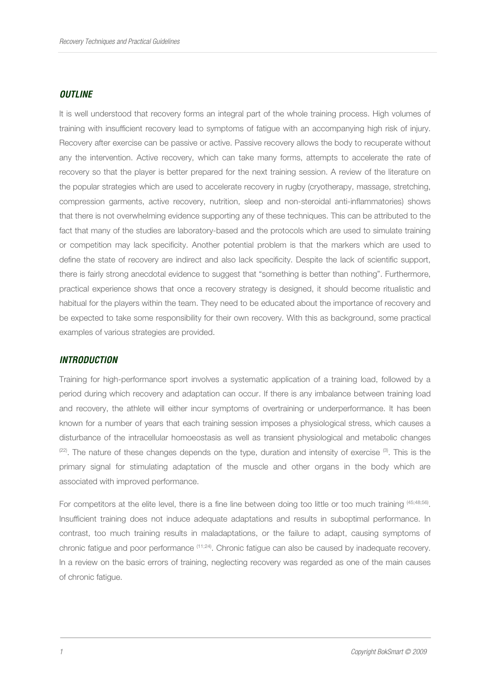#### **OUTLINE**

It is well understood that recovery forms an integral part of the whole training process. High volumes of training with insufficient recovery lead to symptoms of fatigue with an accompanying high risk of injury. Recovery after exercise can be passive or active. Passive recovery allows the body to recuperate without any the intervention. Active recovery, which can take many forms, attempts to accelerate the rate of recovery so that the player is better prepared for the next training session. A review of the literature on the popular strategies which are used to accelerate recovery in rugby (cryotherapy, massage, stretching, compression garments, active recovery, nutrition, sleep and non-steroidal anti-inflammatories) shows that there is not overwhelming evidence supporting any of these techniques. This can be attributed to the fact that many of the studies are laboratory-based and the protocols which are used to simulate training or competition may lack specificity. Another potential problem is that the markers which are used to define the state of recovery are indirect and also lack specificity. Despite the lack of scientific support, there is fairly strong anecdotal evidence to suggest that "something is better than nothing". Furthermore, practical experience shows that once a recovery strategy is designed, it should become ritualistic and habitual for the players within the team. They need to be educated about the importance of recovery and be expected to take some responsibility for their own recovery. With this as background, some practical examples of various strategies are provided.

#### **INTRODUCTION**

Training for high-performance sport involves a systematic application of a training load, followed by a period during which recovery and adaptation can occur. If there is any imbalance between training load and recovery, the athlete will either incur symptoms of overtraining or underperformance. It has been known for a number of years that each training session imposes a physiological stress, which causes a disturbance of the intracellular homoeostasis as well as transient physiological and metabolic changes  $(22)$ . The nature of these changes depends on the type, duration and intensity of exercise  $(3)$ . This is the primary signal for stimulating adaptation of the muscle and other organs in the body which are associated with improved performance.

For competitors at the elite level, there is a fine line between doing too little or too much training <sup>(45;48;56)</sup>. Insufficient training does not induce adequate adaptations and results in suboptimal performance. In contrast, too much training results in maladaptations, or the failure to adapt, causing symptoms of chronic fatigue and poor performance (11;24). Chronic fatigue can also be caused by inadequate recovery. In a review on the basic errors of training, neglecting recovery was regarded as one of the main causes of chronic fatigue.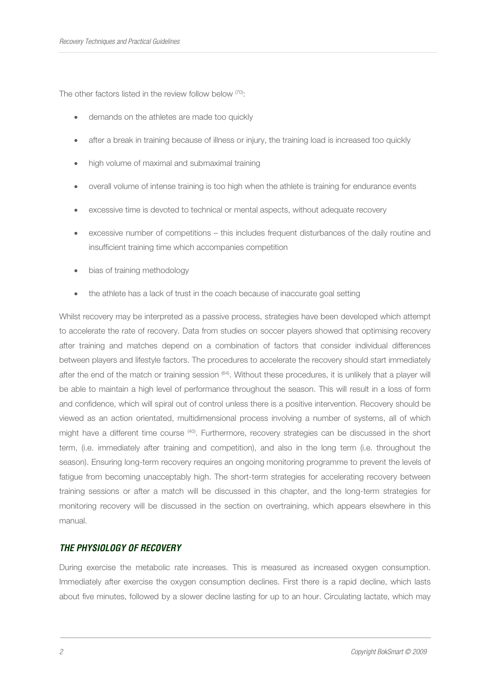The other factors listed in the review follow below (70):

- demands on the athletes are made too quickly
- after a break in training because of illness or injury, the training load is increased too quickly
- high volume of maximal and submaximal training
- overall volume of intense training is too high when the athlete is training for endurance events
- excessive time is devoted to technical or mental aspects, without adequate recovery
- excessive number of competitions this includes frequent disturbances of the daily routine and insufficient training time which accompanies competition
- bias of training methodology
- the athlete has a lack of trust in the coach because of inaccurate goal setting

Whilst recovery may be interpreted as a passive process, strategies have been developed which attempt to accelerate the rate of recovery. Data from studies on soccer players showed that optimising recovery after training and matches depend on a combination of factors that consider individual differences between players and lifestyle factors. The procedures to accelerate the recovery should start immediately after the end of the match or training session (64). Without these procedures, it is unlikely that a player will be able to maintain a high level of performance throughout the season. This will result in a loss of form and confidence, which will spiral out of control unless there is a positive intervention. Recovery should be viewed as an action orientated, multidimensional process involving a number of systems, all of which might have a different time course (40). Furthermore, recovery strategies can be discussed in the short term, (i.e. immediately after training and competition), and also in the long term (i.e. throughout the season). Ensuring long-term recovery requires an ongoing monitoring programme to prevent the levels of fatigue from becoming unacceptably high. The short-term strategies for accelerating recovery between training sessions or after a match will be discussed in this chapter, and the long-term strategies for monitoring recovery will be discussed in the section on overtraining, which appears elsewhere in this manual.

# **THE PHYSIOLOGY OF RECOVERY**

During exercise the metabolic rate increases. This is measured as increased oxygen consumption. Immediately after exercise the oxygen consumption declines. First there is a rapid decline, which lasts about five minutes, followed by a slower decline lasting for up to an hour. Circulating lactate, which may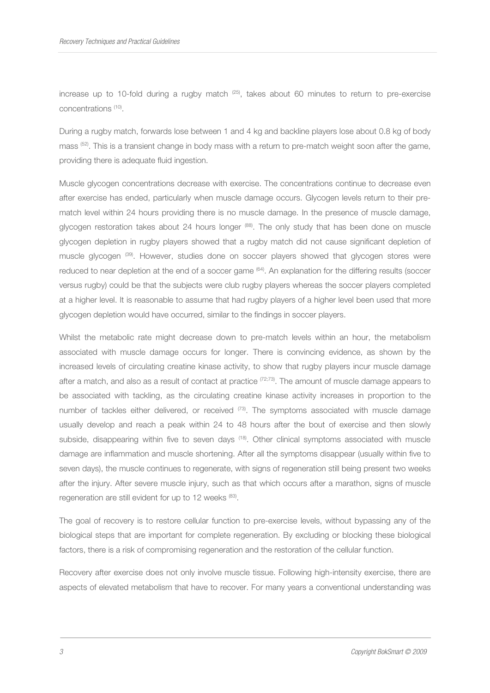increase up to 10-fold during a rugby match  $(25)$ , takes about 60 minutes to return to pre-exercise concentrations (10) .

During a rugby match, forwards lose between 1 and 4 kg and backline players lose about 0.8 kg of body mass (52). This is a transient change in body mass with a return to pre-match weight soon after the game, providing there is adequate fluid ingestion.

Muscle glycogen concentrations decrease with exercise. The concentrations continue to decrease even after exercise has ended, particularly when muscle damage occurs. Glycogen levels return to their prematch level within 24 hours providing there is no muscle damage. In the presence of muscle damage, glycogen restoration takes about 24 hours longer <sup>(88)</sup>. The only study that has been done on muscle glycogen depletion in rugby players showed that a rugby match did not cause significant depletion of muscle glycogen <sup>(39)</sup>. However, studies done on soccer players showed that glycogen stores were reduced to near depletion at the end of a soccer game <sup>(64)</sup>. An explanation for the differing results (soccer versus rugby) could be that the subjects were club rugby players whereas the soccer players completed at a higher level. It is reasonable to assume that had rugby players of a higher level been used that more glycogen depletion would have occurred, similar to the findings in soccer players.

Whilst the metabolic rate might decrease down to pre-match levels within an hour, the metabolism associated with muscle damage occurs for longer. There is convincing evidence, as shown by the increased levels of circulating creatine kinase activity, to show that rugby players incur muscle damage after a match, and also as a result of contact at practice  $(72,73)$ . The amount of muscle damage appears to be associated with tackling, as the circulating creatine kinase activity increases in proportion to the number of tackles either delivered, or received <sup>(73)</sup>. The symptoms associated with muscle damage usually develop and reach a peak within 24 to 48 hours after the bout of exercise and then slowly subside, disappearing within five to seven days <sup>(18)</sup>. Other clinical symptoms associated with muscle damage are inflammation and muscle shortening. After all the symptoms disappear (usually within five to seven days), the muscle continues to regenerate, with signs of regeneration still being present two weeks after the injury. After severe muscle injury, such as that which occurs after a marathon, signs of muscle regeneration are still evident for up to 12 weeks (83).

The goal of recovery is to restore cellular function to pre-exercise levels, without bypassing any of the biological steps that are important for complete regeneration. By excluding or blocking these biological factors, there is a risk of compromising regeneration and the restoration of the cellular function.

Recovery after exercise does not only involve muscle tissue. Following high-intensity exercise, there are aspects of elevated metabolism that have to recover. For many years a conventional understanding was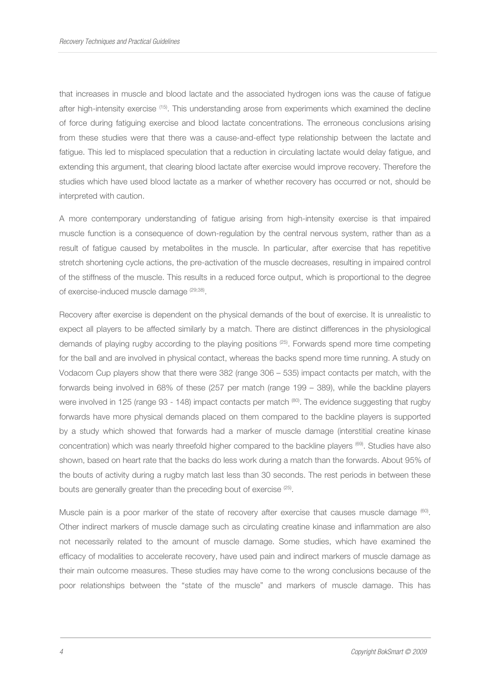that increases in muscle and blood lactate and the associated hydrogen ions was the cause of fatigue after high-intensity exercise (15). This understanding arose from experiments which examined the decline of force during fatiguing exercise and blood lactate concentrations. The erroneous conclusions arising from these studies were that there was a cause-and-effect type relationship between the lactate and fatigue. This led to misplaced speculation that a reduction in circulating lactate would delay fatigue, and extending this argument, that clearing blood lactate after exercise would improve recovery. Therefore the studies which have used blood lactate as a marker of whether recovery has occurred or not, should be interpreted with caution.

A more contemporary understanding of fatigue arising from high-intensity exercise is that impaired muscle function is a consequence of down-regulation by the central nervous system, rather than as a result of fatigue caused by metabolites in the muscle. In particular, after exercise that has repetitive stretch shortening cycle actions, the pre-activation of the muscle decreases, resulting in impaired control of the stiffness of the muscle. This results in a reduced force output, which is proportional to the degree of exercise-induced muscle damage <sup>(29,38)</sup>.

Recovery after exercise is dependent on the physical demands of the bout of exercise. It is unrealistic to expect all players to be affected similarly by a match. There are distinct differences in the physiological demands of playing rugby according to the playing positions (25). Forwards spend more time competing for the ball and are involved in physical contact, whereas the backs spend more time running. A study on Vodacom Cup players show that there were 382 (range 306 – 535) impact contacts per match, with the forwards being involved in 68% of these (257 per match (range 199 – 389), while the backline players were involved in 125 (range 93 - 148) impact contacts per match (80). The evidence suggesting that rugby forwards have more physical demands placed on them compared to the backline players is supported by a study which showed that forwards had a marker of muscle damage (interstitial creatine kinase concentration) which was nearly threefold higher compared to the backline players (69). Studies have also shown, based on heart rate that the backs do less work during a match than the forwards. About 95% of the bouts of activity during a rugby match last less than 30 seconds. The rest periods in between these bouts are generally greater than the preceding bout of exercise <sup>(25)</sup>.

Muscle pain is a poor marker of the state of recovery after exercise that causes muscle damage  $^{(60)}$ . Other indirect markers of muscle damage such as circulating creatine kinase and inflammation are also not necessarily related to the amount of muscle damage. Some studies, which have examined the efficacy of modalities to accelerate recovery, have used pain and indirect markers of muscle damage as their main outcome measures. These studies may have come to the wrong conclusions because of the poor relationships between the "state of the muscle" and markers of muscle damage. This has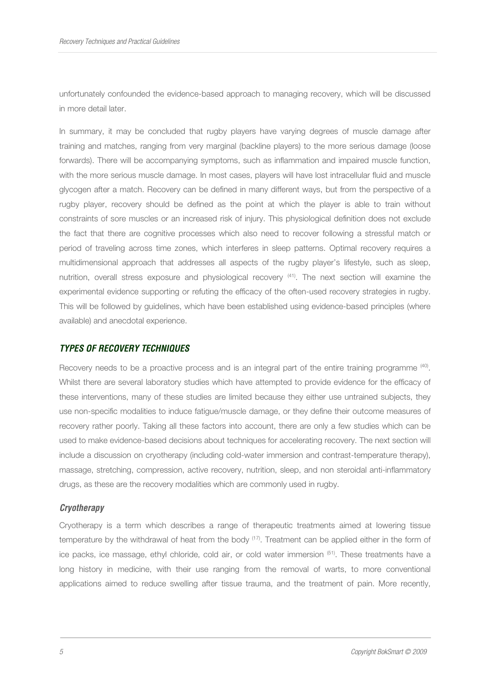unfortunately confounded the evidence-based approach to managing recovery, which will be discussed in more detail later.

In summary, it may be concluded that rugby players have varying degrees of muscle damage after training and matches, ranging from very marginal (backline players) to the more serious damage (loose forwards). There will be accompanying symptoms, such as inflammation and impaired muscle function, with the more serious muscle damage. In most cases, players will have lost intracellular fluid and muscle glycogen after a match. Recovery can be defined in many different ways, but from the perspective of a rugby player, recovery should be defined as the point at which the player is able to train without constraints of sore muscles or an increased risk of injury. This physiological definition does not exclude the fact that there are cognitive processes which also need to recover following a stressful match or period of traveling across time zones, which interferes in sleep patterns. Optimal recovery requires a multidimensional approach that addresses all aspects of the rugby player's lifestyle, such as sleep, nutrition, overall stress exposure and physiological recovery <sup>(41)</sup>. The next section will examine the experimental evidence supporting or refuting the efficacy of the often-used recovery strategies in rugby. This will be followed by guidelines, which have been established using evidence-based principles (where available) and anecdotal experience.

# **TYPES OF RECOVERY TECHNIQUES**

Recovery needs to be a proactive process and is an integral part of the entire training programme (40). Whilst there are several laboratory studies which have attempted to provide evidence for the efficacy of these interventions, many of these studies are limited because they either use untrained subjects, they use non-specific modalities to induce fatigue/muscle damage, or they define their outcome measures of recovery rather poorly. Taking all these factors into account, there are only a few studies which can be used to make evidence-based decisions about techniques for accelerating recovery. The next section will include a discussion on cryotherapy (including cold-water immersion and contrast-temperature therapy), massage, stretching, compression, active recovery, nutrition, sleep, and non steroidal anti-inflammatory drugs, as these are the recovery modalities which are commonly used in rugby.

# **Cryotherapy**

Cryotherapy is a term which describes a range of therapeutic treatments aimed at lowering tissue temperature by the withdrawal of heat from the body <sup>(17)</sup>. Treatment can be applied either in the form of ice packs, ice massage, ethyl chloride, cold air, or cold water immersion  $(51)$ . These treatments have a long history in medicine, with their use ranging from the removal of warts, to more conventional applications aimed to reduce swelling after tissue trauma, and the treatment of pain. More recently,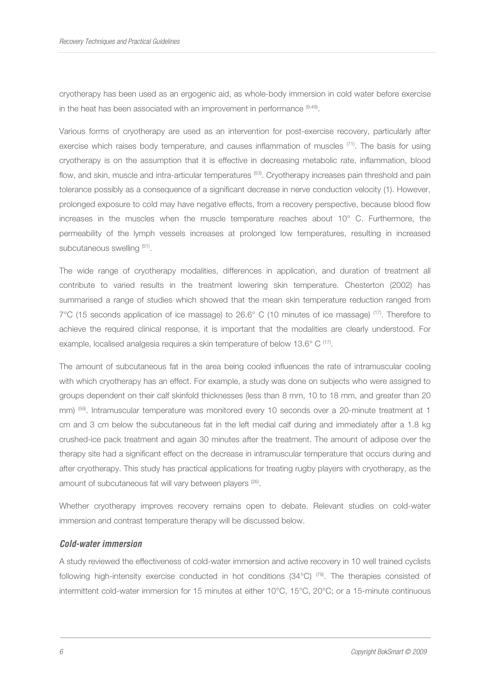cryotherapy has been used as an ergogenic aid, as whole-body immersion in cold water before exercise in the heat has been associated with an improvement in performance  $(9,49)$ .

Various forms of cryotherapy are used as an intervention for post-exercise recovery, particularly after exercise which raises body temperature, and causes inflammation of muscles (71). The basis for using cryotherapy is on the assumption that it is effective in decreasing metabolic rate, inflammation, blood flow, and skin, muscle and intra-articular temperatures (53). Cryotherapy increases pain threshold and pain tolerance possibly as a consequence of a significant decrease in nerve conduction velocity (1). However, prolonged exposure to cold may have negative effects, from a recovery perspective, because blood flow increases in the muscles when the muscle temperature reaches about 10° C. Furthermore, the permeability of the lymph vessels increases at prolonged low temperatures, resulting in increased subcutaneous swelling (51).

The wide range of cryotherapy modalities, differences in application, and duration of treatment all contribute to varied results in the treatment lowering skin temperature. Chesterton (2002) has summarised a range of studies which showed that the mean skin temperature reduction ranged from 7°C (15 seconds application of ice massage) to 26.6° C (10 minutes of ice massage) (17). Therefore to achieve the required clinical response, it is important that the modalities are clearly understood. For example, localised analgesia requires a skin temperature of below 13.6° C (17).

The amount of subcutaneous fat in the area being cooled influences the rate of intramuscular cooling with which cryotherapy has an effect. For example, a study was done on subjects who were assigned to groups dependent on their calf skinfold thicknesses (less than 8 mm, 10 to 18 mm, and greater than 20 mm) (59). Intramuscular temperature was monitored every 10 seconds over a 20-minute treatment at 1 cm and 3 cm below the subcutaneous fat in the left medial calf during and immediately after a 1.8 kg crushed-ice pack treatment and again 30 minutes after the treatment. The amount of adipose over the therapy site had a significant effect on the decrease in intramuscular temperature that occurs during and after cryotherapy. This study has practical applications for treating rugby players with cryotherapy, as the amount of subcutaneous fat will vary between players<sup>(26)</sup>.

Whether cryotherapy improves recovery remains open to debate. Relevant studies on cold-water immersion and contrast temperature therapy will be discussed below.

## **Cold-water immersion**

A study reviewed the effectiveness of cold-water immersion and active recovery in 10 well trained cyclists following high-intensity exercise conducted in hot conditions  $(34^{\circ}C)^{79}$ . The therapies consisted of intermittent cold-water immersion for 15 minutes at either 10°C, 15°C, 20°C; or a 15-minute continuous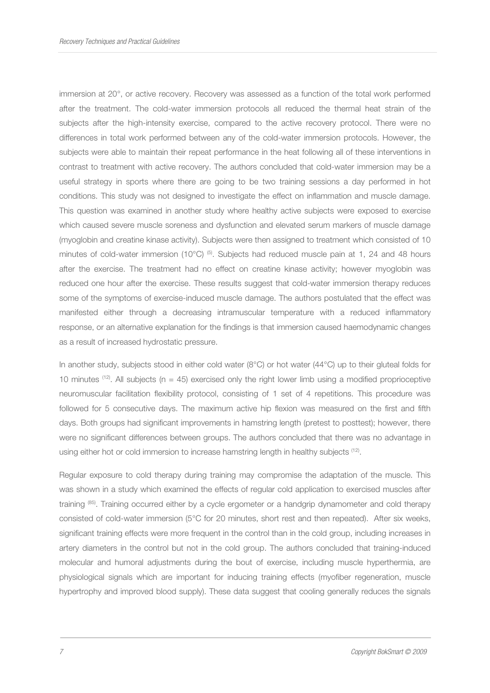immersion at 20°, or active recovery. Recovery was assessed as a function of the total work performed after the treatment. The cold-water immersion protocols all reduced the thermal heat strain of the subjects after the high-intensity exercise, compared to the active recovery protocol. There were no differences in total work performed between any of the cold-water immersion protocols. However, the subjects were able to maintain their repeat performance in the heat following all of these interventions in contrast to treatment with active recovery. The authors concluded that cold-water immersion may be a useful strategy in sports where there are going to be two training sessions a day performed in hot conditions. This study was not designed to investigate the effect on inflammation and muscle damage. This question was examined in another study where healthy active subjects were exposed to exercise which caused severe muscle soreness and dysfunction and elevated serum markers of muscle damage (myoglobin and creatine kinase activity). Subjects were then assigned to treatment which consisted of 10 minutes of cold-water immersion (10 $^{\circ}$ C) <sup>(5)</sup>. Subjects had reduced muscle pain at 1, 24 and 48 hours after the exercise. The treatment had no effect on creatine kinase activity; however myoglobin was reduced one hour after the exercise. These results suggest that cold-water immersion therapy reduces some of the symptoms of exercise-induced muscle damage. The authors postulated that the effect was manifested either through a decreasing intramuscular temperature with a reduced inflammatory response, or an alternative explanation for the findings is that immersion caused haemodynamic changes as a result of increased hydrostatic pressure.

In another study, subjects stood in either cold water (8°C) or hot water (44°C) up to their gluteal folds for 10 minutes <sup>(12)</sup>. All subjects (n = 45) exercised only the right lower limb using a modified proprioceptive neuromuscular facilitation flexibility protocol, consisting of 1 set of 4 repetitions. This procedure was followed for 5 consecutive days. The maximum active hip flexion was measured on the first and fifth days. Both groups had significant improvements in hamstring length (pretest to posttest); however, there were no significant differences between groups. The authors concluded that there was no advantage in using either hot or cold immersion to increase hamstring length in healthy subjects <sup>(12)</sup>.

Regular exposure to cold therapy during training may compromise the adaptation of the muscle. This was shown in a study which examined the effects of regular cold application to exercised muscles after training (85). Training occurred either by a cycle ergometer or a handgrip dynamometer and cold therapy consisted of cold-water immersion (5°C for 20 minutes, short rest and then repeated). After six weeks, significant training effects were more frequent in the control than in the cold group, including increases in artery diameters in the control but not in the cold group. The authors concluded that training-induced molecular and humoral adjustments during the bout of exercise, including muscle hyperthermia, are physiological signals which are important for inducing training effects (myofiber regeneration, muscle hypertrophy and improved blood supply). These data suggest that cooling generally reduces the signals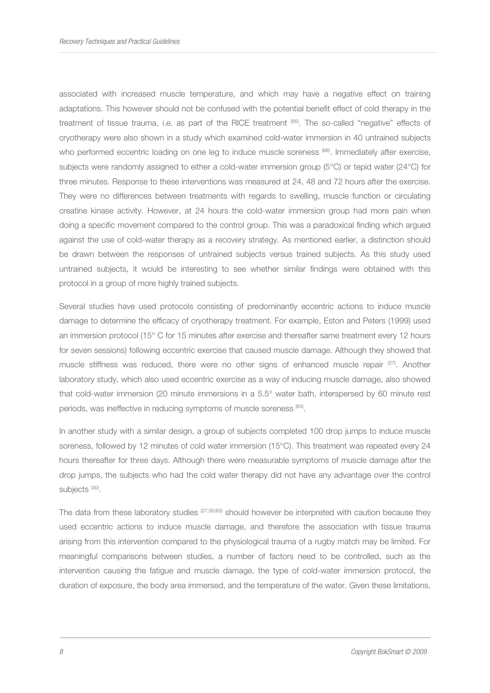associated with increased muscle temperature, and which may have a negative effect on training adaptations. This however should not be confused with the potential benefit effect of cold therapy in the treatment of tissue trauma, i.e. as part of the RICE treatment (85). The so-called "negative" effects of cryotherapy were also shown in a study which examined cold-water immersion in 40 untrained subjects who performed eccentric loading on one leg to induce muscle soreness <sup>(68)</sup>. Immediately after exercise, subjects were randomly assigned to either a cold-water immersion group (5°C) or tepid water (24°C) for three minutes. Response to these interventions was measured at 24, 48 and 72 hours after the exercise. They were no differences between treatments with regards to swelling, muscle function or circulating creatine kinase activity. However, at 24 hours the cold-water immersion group had more pain when doing a specific movement compared to the control group. This was a paradoxical finding which argued against the use of cold-water therapy as a recovery strategy. As mentioned earlier, a distinction should be drawn between the responses of untrained subjects versus trained subjects. As this study used untrained subjects, it would be interesting to see whether similar findings were obtained with this protocol in a group of more highly trained subjects.

Several studies have used protocols consisting of predominantly eccentric actions to induce muscle damage to determine the efficacy of cryotherapy treatment. For example, Eston and Peters (1999) used an immersion protocol (15° C for 15 minutes after exercise and thereafter same treatment every 12 hours for seven sessions) following eccentric exercise that caused muscle damage. Although they showed that muscle stiffness was reduced, there were no other signs of enhanced muscle repair  $(27)$ . Another laboratory study, which also used eccentric exercise as a way of inducing muscle damage, also showed that cold-water immersion (20 minute immersions in a 5.5° water bath, interspersed by 60 minute rest periods, was ineffective in reducing symptoms of muscle soreness <sup>(63)</sup>.

In another study with a similar design, a group of subjects completed 100 drop jumps to induce muscle soreness, followed by 12 minutes of cold water immersion (15°C). This treatment was repeated every 24 hours thereafter for three days. Although there were measurable symptoms of muscle damage after the drop jumps, the subjects who had the cold water therapy did not have any advantage over the control subjects<sup>(30)</sup>.

The data from these laboratory studies  $(27;30;63)$  should however be interpreted with caution because they used eccentric actions to induce muscle damage, and therefore the association with tissue trauma arising from this intervention compared to the physiological trauma of a rugby match may be limited. For meaningful comparisons between studies, a number of factors need to be controlled, such as the intervention causing the fatigue and muscle damage, the type of cold-water immersion protocol, the duration of exposure, the body area immersed, and the temperature of the water. Given these limitations,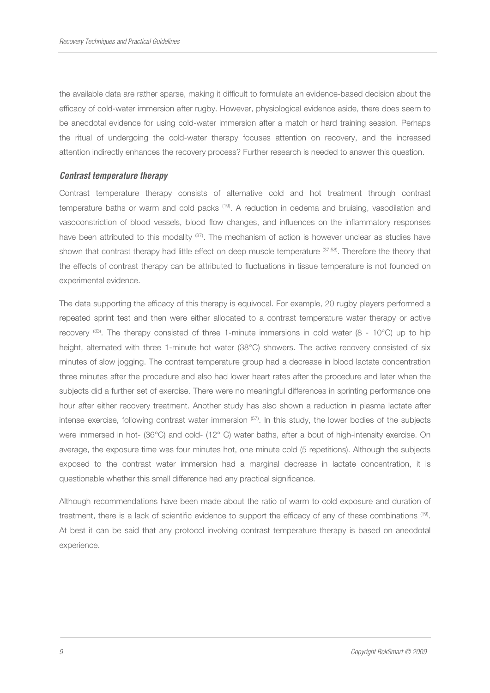the available data are rather sparse, making it difficult to formulate an evidence-based decision about the efficacy of cold-water immersion after rugby. However, physiological evidence aside, there does seem to be anecdotal evidence for using cold-water immersion after a match or hard training session. Perhaps the ritual of undergoing the cold-water therapy focuses attention on recovery, and the increased attention indirectly enhances the recovery process? Further research is needed to answer this question.

## **Contrast temperature therapy**

Contrast temperature therapy consists of alternative cold and hot treatment through contrast temperature baths or warm and cold packs (19). A reduction in oedema and bruising, vasodilation and vasoconstriction of blood vessels, blood flow changes, and influences on the inflammatory responses have been attributed to this modality <sup>(37)</sup>. The mechanism of action is however unclear as studies have shown that contrast therapy had little effect on deep muscle temperature (37;58). Therefore the theory that the effects of contrast therapy can be attributed to fluctuations in tissue temperature is not founded on experimental evidence.

The data supporting the efficacy of this therapy is equivocal. For example, 20 rugby players performed a repeated sprint test and then were either allocated to a contrast temperature water therapy or active recovery  $(33)$ . The therapy consisted of three 1-minute immersions in cold water  $(8 - 10^{\circ}C)$  up to hip height, alternated with three 1-minute hot water (38°C) showers. The active recovery consisted of six minutes of slow jogging. The contrast temperature group had a decrease in blood lactate concentration three minutes after the procedure and also had lower heart rates after the procedure and later when the subjects did a further set of exercise. There were no meaningful differences in sprinting performance one hour after either recovery treatment. Another study has also shown a reduction in plasma lactate after intense exercise, following contrast water immersion (57). In this study, the lower bodies of the subjects were immersed in hot- (36°C) and cold- (12° C) water baths, after a bout of high-intensity exercise. On average, the exposure time was four minutes hot, one minute cold (5 repetitions). Although the subjects exposed to the contrast water immersion had a marginal decrease in lactate concentration, it is questionable whether this small difference had any practical significance.

Although recommendations have been made about the ratio of warm to cold exposure and duration of treatment, there is a lack of scientific evidence to support the efficacy of any of these combinations <sup>(19)</sup>. At best it can be said that any protocol involving contrast temperature therapy is based on anecdotal experience.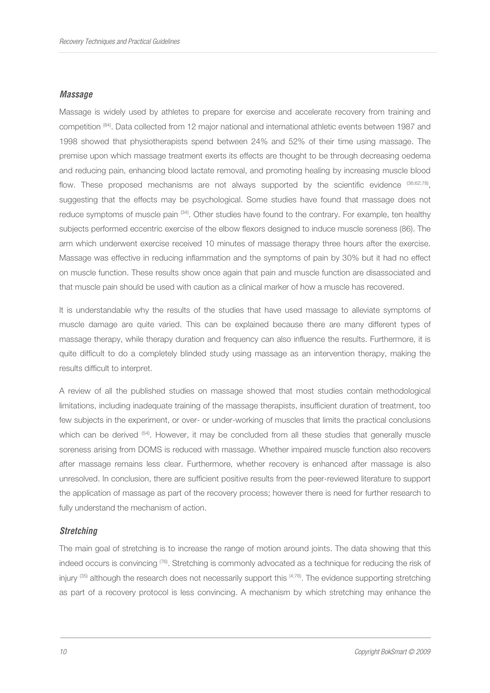#### **Massage**

Massage is widely used by athletes to prepare for exercise and accelerate recovery from training and competition (84). Data collected from 12 major national and international athletic events between 1987 and 1998 showed that physiotherapists spend between 24% and 52% of their time using massage. The premise upon which massage treatment exerts its effects are thought to be through decreasing oedema and reducing pain, enhancing blood lactate removal, and promoting healing by increasing muscle blood flow. These proposed mechanisms are not always supported by the scientific evidence <sup>(36;62;78</sup>), suggesting that the effects may be psychological. Some studies have found that massage does not reduce symptoms of muscle pain (34). Other studies have found to the contrary. For example, ten healthy subjects performed eccentric exercise of the elbow flexors designed to induce muscle soreness (86). The arm which underwent exercise received 10 minutes of massage therapy three hours after the exercise. Massage was effective in reducing inflammation and the symptoms of pain by 30% but it had no effect on muscle function. These results show once again that pain and muscle function are disassociated and that muscle pain should be used with caution as a clinical marker of how a muscle has recovered.

It is understandable why the results of the studies that have used massage to alleviate symptoms of muscle damage are quite varied. This can be explained because there are many different types of massage therapy, while therapy duration and frequency can also influence the results. Furthermore, it is quite difficult to do a completely blinded study using massage as an intervention therapy, making the results difficult to interpret.

A review of all the published studies on massage showed that most studies contain methodological limitations, including inadequate training of the massage therapists, insufficient duration of treatment, too few subjects in the experiment, or over- or under-working of muscles that limits the practical conclusions which can be derived <sup>(54)</sup>. However, it may be concluded from all these studies that generally muscle soreness arising from DOMS is reduced with massage. Whether impaired muscle function also recovers after massage remains less clear. Furthermore, whether recovery is enhanced after massage is also unresolved. In conclusion, there are sufficient positive results from the peer-reviewed literature to support the application of massage as part of the recovery process; however there is need for further research to fully understand the mechanism of action.

#### **Stretching**

The main goal of stretching is to increase the range of motion around joints. The data showing that this indeed occurs is convincing <sup>(76)</sup>. Stretching is commonly advocated as a technique for reducing the risk of injury  $(35)$  although the research does not necessarily support this  $(4,76)$ . The evidence supporting stretching as part of a recovery protocol is less convincing. A mechanism by which stretching may enhance the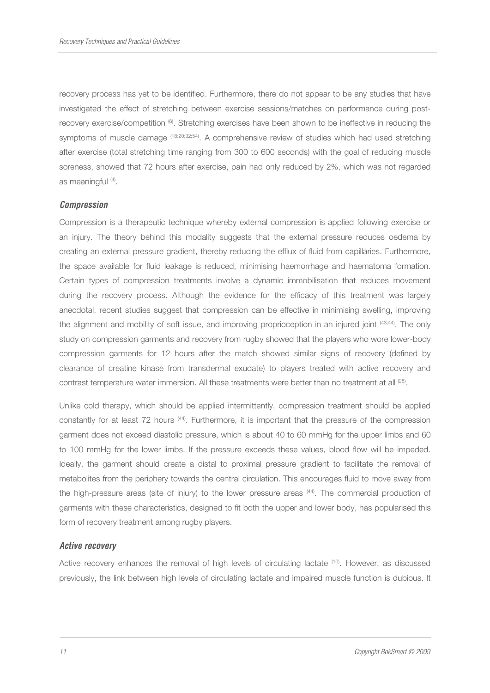recovery process has yet to be identified. Furthermore, there do not appear to be any studies that have investigated the effect of stretching between exercise sessions/matches on performance during postrecovery exercise/competition  $^{(6)}$ . Stretching exercises have been shown to be ineffective in reducing the symptoms of muscle damage (18;20;32;54). A comprehensive review of studies which had used stretching after exercise (total stretching time ranging from 300 to 600 seconds) with the goal of reducing muscle soreness, showed that 72 hours after exercise, pain had only reduced by 2%, which was not regarded as meaningful (4).

#### **Compression**

Compression is a therapeutic technique whereby external compression is applied following exercise or an injury. The theory behind this modality suggests that the external pressure reduces oedema by creating an external pressure gradient, thereby reducing the efflux of fluid from capillaries. Furthermore, the space available for fluid leakage is reduced, minimising haemorrhage and haematoma formation. Certain types of compression treatments involve a dynamic immobilisation that reduces movement during the recovery process. Although the evidence for the efficacy of this treatment was largely anecdotal, recent studies suggest that compression can be effective in minimising swelling, improving the alignment and mobility of soft issue, and improving proprioception in an injured joint <sup>(43;44)</sup>. The only study on compression garments and recovery from rugby showed that the players who wore lower-body compression garments for 12 hours after the match showed similar signs of recovery (defined by clearance of creatine kinase from transdermal exudate) to players treated with active recovery and contrast temperature water immersion. All these treatments were better than no treatment at all  $^{(28)}$ .

Unlike cold therapy, which should be applied intermittently, compression treatment should be applied constantly for at least 72 hours (44). Furthermore, it is important that the pressure of the compression garment does not exceed diastolic pressure, which is about 40 to 60 mmHg for the upper limbs and 60 to 100 mmHg for the lower limbs. If the pressure exceeds these values, blood flow will be impeded. Ideally, the garment should create a distal to proximal pressure gradient to facilitate the removal of metabolites from the periphery towards the central circulation. This encourages fluid to move away from the high-pressure areas (site of injury) to the lower pressure areas <sup>(44)</sup>. The commercial production of garments with these characteristics, designed to fit both the upper and lower body, has popularised this form of recovery treatment among rugby players.

#### **Active recovery**

Active recovery enhances the removal of high levels of circulating lactate <sup>(10)</sup>. However, as discussed previously, the link between high levels of circulating lactate and impaired muscle function is dubious. It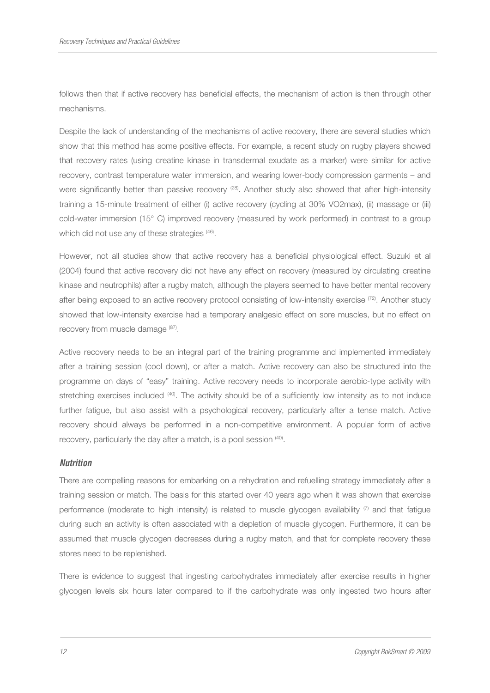follows then that if active recovery has beneficial effects, the mechanism of action is then through other mechanisms.

Despite the lack of understanding of the mechanisms of active recovery, there are several studies which show that this method has some positive effects. For example, a recent study on rugby players showed that recovery rates (using creatine kinase in transdermal exudate as a marker) were similar for active recovery, contrast temperature water immersion, and wearing lower-body compression garments – and were significantly better than passive recovery <sup>(28)</sup>. Another study also showed that after high-intensity training a 15-minute treatment of either (i) active recovery (cycling at 30% VO2max), (ii) massage or (iii) cold-water immersion (15° C) improved recovery (measured by work performed) in contrast to a group which did not use any of these strategies (46).

However, not all studies show that active recovery has a beneficial physiological effect. Suzuki et al (2004) found that active recovery did not have any effect on recovery (measured by circulating creatine kinase and neutrophils) after a rugby match, although the players seemed to have better mental recovery after being exposed to an active recovery protocol consisting of low-intensity exercise  $(72)$ . Another study showed that low-intensity exercise had a temporary analgesic effect on sore muscles, but no effect on recovery from muscle damage (87).

Active recovery needs to be an integral part of the training programme and implemented immediately after a training session (cool down), or after a match. Active recovery can also be structured into the programme on days of "easy" training. Active recovery needs to incorporate aerobic-type activity with stretching exercises included <sup>(40)</sup>. The activity should be of a sufficiently low intensity as to not induce further fatigue, but also assist with a psychological recovery, particularly after a tense match. Active recovery should always be performed in a non-competitive environment. A popular form of active recovery, particularly the day after a match, is a pool session  $(40)$ .

## **Nutrition**

There are compelling reasons for embarking on a rehydration and refuelling strategy immediately after a training session or match. The basis for this started over 40 years ago when it was shown that exercise performance (moderate to high intensity) is related to muscle glycogen availability  $\sigma$  and that fatigue during such an activity is often associated with a depletion of muscle glycogen. Furthermore, it can be assumed that muscle glycogen decreases during a rugby match, and that for complete recovery these stores need to be replenished.

There is evidence to suggest that ingesting carbohydrates immediately after exercise results in higher glycogen levels six hours later compared to if the carbohydrate was only ingested two hours after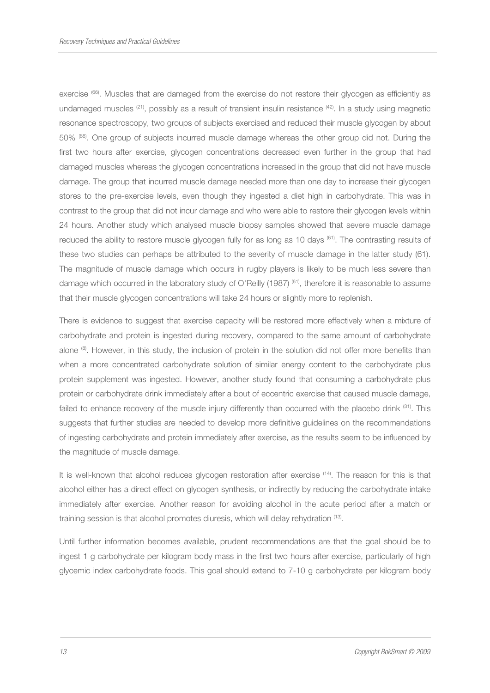exercise (66). Muscles that are damaged from the exercise do not restore their glycogen as efficiently as undamaged muscles  $(21)$ , possibly as a result of transient insulin resistance  $(42)$ . In a study using magnetic resonance spectroscopy, two groups of subjects exercised and reduced their muscle glycogen by about 50% (88). One group of subjects incurred muscle damage whereas the other group did not. During the first two hours after exercise, glycogen concentrations decreased even further in the group that had damaged muscles whereas the glycogen concentrations increased in the group that did not have muscle damage. The group that incurred muscle damage needed more than one day to increase their glycogen stores to the pre-exercise levels, even though they ingested a diet high in carbohydrate. This was in contrast to the group that did not incur damage and who were able to restore their glycogen levels within 24 hours. Another study which analysed muscle biopsy samples showed that severe muscle damage reduced the ability to restore muscle glycogen fully for as long as 10 days (61). The contrasting results of these two studies can perhaps be attributed to the severity of muscle damage in the latter study (61). The magnitude of muscle damage which occurs in rugby players is likely to be much less severe than damage which occurred in the laboratory study of O'Reilly (1987) <sup>(61)</sup>, therefore it is reasonable to assume that their muscle glycogen concentrations will take 24 hours or slightly more to replenish.

There is evidence to suggest that exercise capacity will be restored more effectively when a mixture of carbohydrate and protein is ingested during recovery, compared to the same amount of carbohydrate alone (8). However, in this study, the inclusion of protein in the solution did not offer more benefits than when a more concentrated carbohydrate solution of similar energy content to the carbohydrate plus protein supplement was ingested. However, another study found that consuming a carbohydrate plus protein or carbohydrate drink immediately after a bout of eccentric exercise that caused muscle damage, failed to enhance recovery of the muscle injury differently than occurred with the placebo drink (31). This suggests that further studies are needed to develop more definitive guidelines on the recommendations of ingesting carbohydrate and protein immediately after exercise, as the results seem to be influenced by the magnitude of muscle damage.

It is well-known that alcohol reduces glycogen restoration after exercise <sup>(14)</sup>. The reason for this is that alcohol either has a direct effect on glycogen synthesis, or indirectly by reducing the carbohydrate intake immediately after exercise. Another reason for avoiding alcohol in the acute period after a match or training session is that alcohol promotes diuresis, which will delay rehydration <sup>(13)</sup>.

Until further information becomes available, prudent recommendations are that the goal should be to ingest 1 g carbohydrate per kilogram body mass in the first two hours after exercise, particularly of high glycemic index carbohydrate foods. This goal should extend to 7-10 g carbohydrate per kilogram body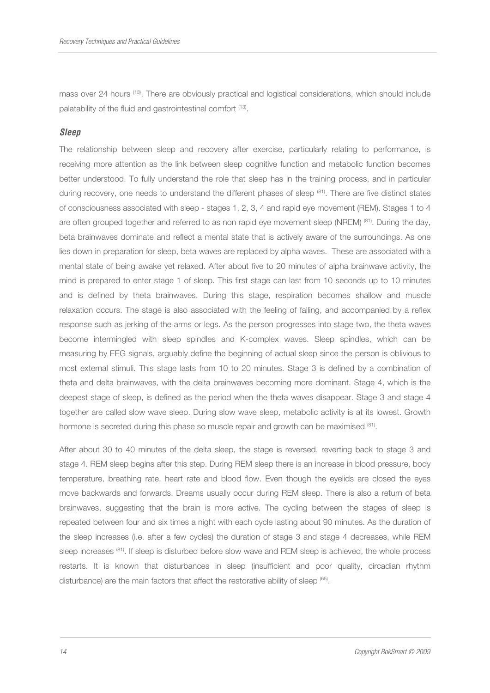mass over 24 hours (13). There are obviously practical and logistical considerations, which should include palatability of the fluid and gastrointestinal comfort <sup>(13)</sup>.

# **Sleep**

The relationship between sleep and recovery after exercise, particularly relating to performance, is receiving more attention as the link between sleep cognitive function and metabolic function becomes better understood. To fully understand the role that sleep has in the training process, and in particular during recovery, one needs to understand the different phases of sleep (81). There are five distinct states of consciousness associated with sleep - stages 1, 2, 3, 4 and rapid eye movement (REM). Stages 1 to 4 are often grouped together and referred to as non rapid eye movement sleep (NREM) (81). During the day, beta brainwaves dominate and reflect a mental state that is actively aware of the surroundings. As one lies down in preparation for sleep, beta waves are replaced by alpha waves. These are associated with a mental state of being awake yet relaxed. After about five to 20 minutes of alpha brainwave activity, the mind is prepared to enter stage 1 of sleep. This first stage can last from 10 seconds up to 10 minutes and is defined by theta brainwaves. During this stage, respiration becomes shallow and muscle relaxation occurs. The stage is also associated with the feeling of falling, and accompanied by a reflex response such as jerking of the arms or legs. As the person progresses into stage two, the theta waves become intermingled with sleep spindles and K-complex waves. Sleep spindles, which can be measuring by EEG signals, arguably define the beginning of actual sleep since the person is oblivious to most external stimuli. This stage lasts from 10 to 20 minutes. Stage 3 is defined by a combination of theta and delta brainwaves, with the delta brainwaves becoming more dominant. Stage 4, which is the deepest stage of sleep, is defined as the period when the theta waves disappear. Stage 3 and stage 4 together are called slow wave sleep. During slow wave sleep, metabolic activity is at its lowest. Growth hormone is secreted during this phase so muscle repair and growth can be maximised  ${}^{(81)}$ .

After about 30 to 40 minutes of the delta sleep, the stage is reversed, reverting back to stage 3 and stage 4. REM sleep begins after this step. During REM sleep there is an increase in blood pressure, body temperature, breathing rate, heart rate and blood flow. Even though the eyelids are closed the eyes move backwards and forwards. Dreams usually occur during REM sleep. There is also a return of beta brainwaves, suggesting that the brain is more active. The cycling between the stages of sleep is repeated between four and six times a night with each cycle lasting about 90 minutes. As the duration of the sleep increases (i.e. after a few cycles) the duration of stage 3 and stage 4 decreases, while REM sleep increases <sup>(81)</sup>. If sleep is disturbed before slow wave and REM sleep is achieved, the whole process restarts. It is known that disturbances in sleep (insufficient and poor quality, circadian rhythm disturbance) are the main factors that affect the restorative ability of sleep <sup>(65)</sup>.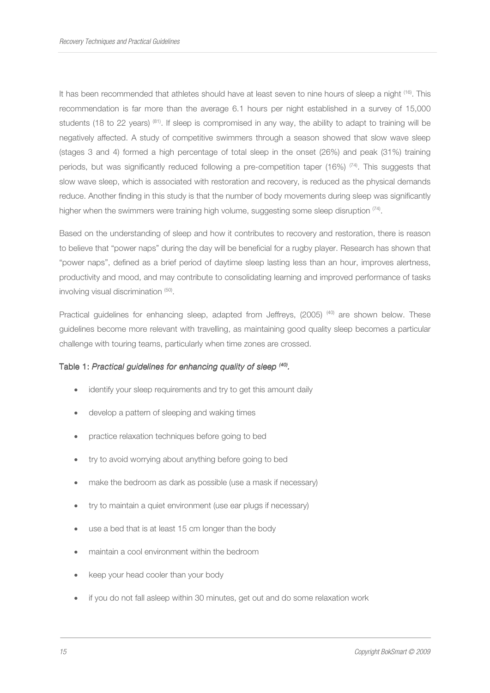It has been recommended that athletes should have at least seven to nine hours of sleep a night <sup>(16)</sup>. This recommendation is far more than the average 6.1 hours per night established in a survey of 15,000 students (18 to 22 years) <sup>(81)</sup>. If sleep is compromised in any way, the ability to adapt to training will be negatively affected. A study of competitive swimmers through a season showed that slow wave sleep (stages 3 and 4) formed a high percentage of total sleep in the onset (26%) and peak (31%) training periods, but was significantly reduced following a pre-competition taper (16%) <sup>(74)</sup>. This suggests that slow wave sleep, which is associated with restoration and recovery, is reduced as the physical demands reduce. Another finding in this study is that the number of body movements during sleep was significantly higher when the swimmers were training high volume, suggesting some sleep disruption  $\frac{74}{4}$ .

Based on the understanding of sleep and how it contributes to recovery and restoration, there is reason to believe that "power naps" during the day will be beneficial for a rugby player. Research has shown that "power naps", defined as a brief period of daytime sleep lasting less than an hour, improves alertness, productivity and mood, and may contribute to consolidating learning and improved performance of tasks involving visual discrimination (50).

Practical guidelines for enhancing sleep, adapted from Jeffreys, (2005)<sup>(40)</sup> are shown below. These guidelines become more relevant with travelling, as maintaining good quality sleep becomes a particular challenge with touring teams, particularly when time zones are crossed.

## Table 1: Practical guidelines for enhancing quality of sleep <sup>(40)</sup>.

- identify your sleep requirements and try to get this amount daily
- develop a pattern of sleeping and waking times
- practice relaxation techniques before going to bed
- try to avoid worrying about anything before going to bed
- make the bedroom as dark as possible (use a mask if necessary)
- try to maintain a quiet environment (use ear plugs if necessary)
- use a bed that is at least 15 cm longer than the body
- maintain a cool environment within the bedroom
- keep your head cooler than your body
- if you do not fall asleep within 30 minutes, get out and do some relaxation work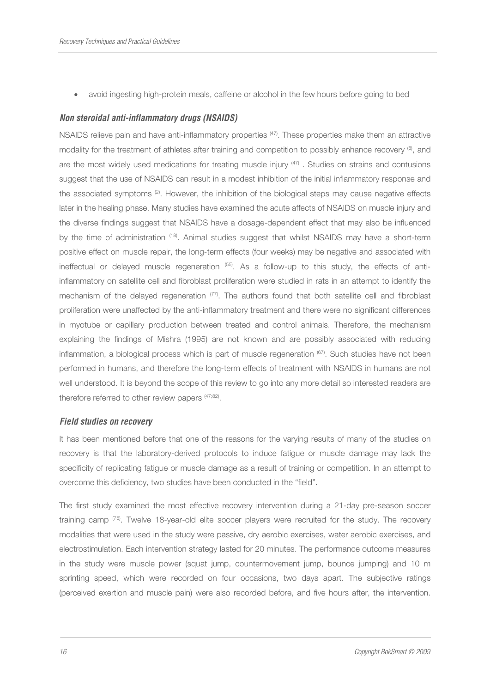• avoid ingesting high-protein meals, caffeine or alcohol in the few hours before going to bed

## **Non steroidal anti-inflammatory drugs (NSAIDS)**

NSAIDS relieve pain and have anti-inflammatory properties <sup>(47)</sup>. These properties make them an attractive modality for the treatment of athletes after training and competition to possibly enhance recovery (6), and are the most widely used medications for treating muscle injury  $47$ . Studies on strains and contusions suggest that the use of NSAIDS can result in a modest inhibition of the initial inflammatory response and the associated symptoms (2). However, the inhibition of the biological steps may cause negative effects later in the healing phase. Many studies have examined the acute affects of NSAIDS on muscle injury and the diverse findings suggest that NSAIDS have a dosage-dependent effect that may also be influenced by the time of administration <sup>(18)</sup>. Animal studies suggest that whilst NSAIDS may have a short-term positive effect on muscle repair, the long-term effects (four weeks) may be negative and associated with ineffectual or delayed muscle regeneration (55). As a follow-up to this study, the effects of antiinflammatory on satellite cell and fibroblast proliferation were studied in rats in an attempt to identify the mechanism of the delayed regeneration  $(77)$ . The authors found that both satellite cell and fibroblast proliferation were unaffected by the anti-inflammatory treatment and there were no significant differences in myotube or capillary production between treated and control animals. Therefore, the mechanism explaining the findings of Mishra (1995) are not known and are possibly associated with reducing inflammation, a biological process which is part of muscle regeneration (67). Such studies have not been performed in humans, and therefore the long-term effects of treatment with NSAIDS in humans are not well understood. It is beyond the scope of this review to go into any more detail so interested readers are therefore referred to other review papers <sup>(47;82)</sup>.

## **Field studies on recovery**

It has been mentioned before that one of the reasons for the varying results of many of the studies on recovery is that the laboratory-derived protocols to induce fatigue or muscle damage may lack the specificity of replicating fatigue or muscle damage as a result of training or competition. In an attempt to overcome this deficiency, two studies have been conducted in the "field".

The first study examined the most effective recovery intervention during a 21-day pre-season soccer training camp (75). Twelve 18-year-old elite soccer players were recruited for the study. The recovery modalities that were used in the study were passive, dry aerobic exercises, water aerobic exercises, and electrostimulation. Each intervention strategy lasted for 20 minutes. The performance outcome measures in the study were muscle power (squat jump, countermovement jump, bounce jumping) and 10 m sprinting speed, which were recorded on four occasions, two days apart. The subjective ratings (perceived exertion and muscle pain) were also recorded before, and five hours after, the intervention.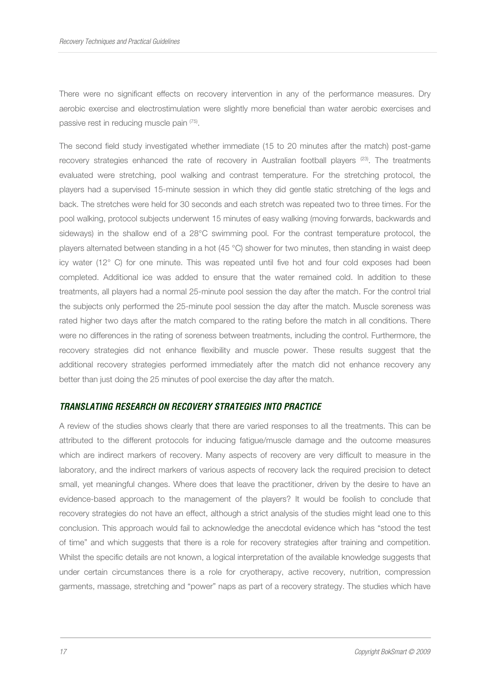There were no significant effects on recovery intervention in any of the performance measures. Dry aerobic exercise and electrostimulation were slightly more beneficial than water aerobic exercises and passive rest in reducing muscle pain (75) .

The second field study investigated whether immediate (15 to 20 minutes after the match) post-game recovery strategies enhanced the rate of recovery in Australian football players (23). The treatments evaluated were stretching, pool walking and contrast temperature. For the stretching protocol, the players had a supervised 15-minute session in which they did gentle static stretching of the legs and back. The stretches were held for 30 seconds and each stretch was repeated two to three times. For the pool walking, protocol subjects underwent 15 minutes of easy walking (moving forwards, backwards and sideways) in the shallow end of a 28°C swimming pool. For the contrast temperature protocol, the players alternated between standing in a hot (45 °C) shower for two minutes, then standing in waist deep icy water (12° C) for one minute. This was repeated until five hot and four cold exposes had been completed. Additional ice was added to ensure that the water remained cold. In addition to these treatments, all players had a normal 25-minute pool session the day after the match. For the control trial the subjects only performed the 25-minute pool session the day after the match. Muscle soreness was rated higher two days after the match compared to the rating before the match in all conditions. There were no differences in the rating of soreness between treatments, including the control. Furthermore, the recovery strategies did not enhance flexibility and muscle power. These results suggest that the additional recovery strategies performed immediately after the match did not enhance recovery any better than just doing the 25 minutes of pool exercise the day after the match.

# **TRANSLATING RESEARCH ON RECOVERY STRATEGIES INTO PRACTICE**

A review of the studies shows clearly that there are varied responses to all the treatments. This can be attributed to the different protocols for inducing fatigue/muscle damage and the outcome measures which are indirect markers of recovery. Many aspects of recovery are very difficult to measure in the laboratory, and the indirect markers of various aspects of recovery lack the required precision to detect small, yet meaningful changes. Where does that leave the practitioner, driven by the desire to have an evidence-based approach to the management of the players? It would be foolish to conclude that recovery strategies do not have an effect, although a strict analysis of the studies might lead one to this conclusion. This approach would fail to acknowledge the anecdotal evidence which has "stood the test of time" and which suggests that there is a role for recovery strategies after training and competition. Whilst the specific details are not known, a logical interpretation of the available knowledge suggests that under certain circumstances there is a role for cryotherapy, active recovery, nutrition, compression garments, massage, stretching and "power" naps as part of a recovery strategy. The studies which have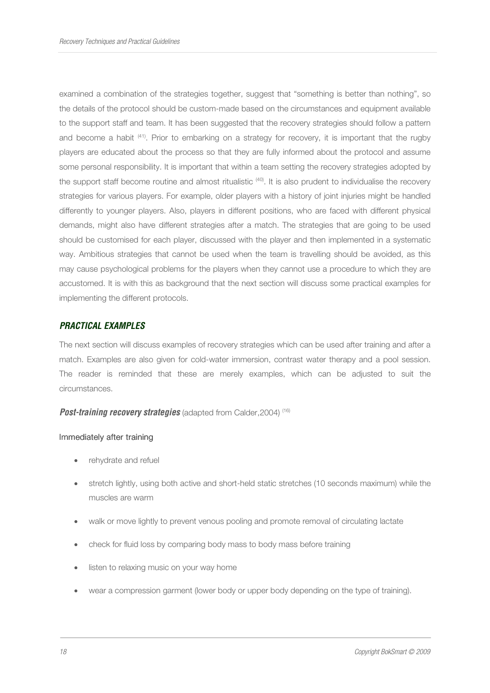examined a combination of the strategies together, suggest that "something is better than nothing", so the details of the protocol should be custom-made based on the circumstances and equipment available to the support staff and team. It has been suggested that the recovery strategies should follow a pattern and become a habit (41). Prior to embarking on a strategy for recovery, it is important that the rugby players are educated about the process so that they are fully informed about the protocol and assume some personal responsibility. It is important that within a team setting the recovery strategies adopted by the support staff become routine and almost ritualistic <sup>(40)</sup>. It is also prudent to individualise the recovery strategies for various players. For example, older players with a history of joint injuries might be handled differently to younger players. Also, players in different positions, who are faced with different physical demands, might also have different strategies after a match. The strategies that are going to be used should be customised for each player, discussed with the player and then implemented in a systematic way. Ambitious strategies that cannot be used when the team is travelling should be avoided, as this may cause psychological problems for the players when they cannot use a procedure to which they are accustomed. It is with this as background that the next section will discuss some practical examples for implementing the different protocols.

# **PRACTICAL EXAMPLES**

The next section will discuss examples of recovery strategies which can be used after training and after a match. Examples are also given for cold-water immersion, contrast water therapy and a pool session. The reader is reminded that these are merely examples, which can be adjusted to suit the circumstances.

**Post-training recovery strategies** (adapted from Calder, 2004)<sup>(16)</sup>

#### Immediately after training

- rehydrate and refuel
- stretch lightly, using both active and short-held static stretches (10 seconds maximum) while the muscles are warm
- walk or move lightly to prevent venous pooling and promote removal of circulating lactate
- check for fluid loss by comparing body mass to body mass before training
- listen to relaxing music on your way home
- wear a compression garment (lower body or upper body depending on the type of training).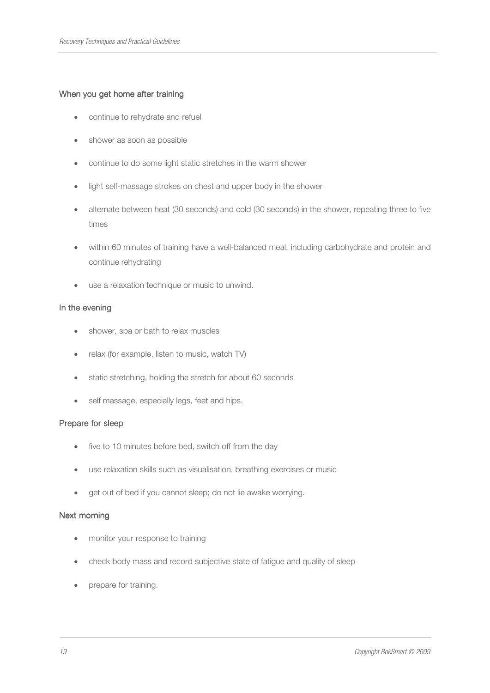## When you get home after training

- continue to rehydrate and refuel
- shower as soon as possible
- continue to do some light static stretches in the warm shower
- light self-massage strokes on chest and upper body in the shower
- alternate between heat (30 seconds) and cold (30 seconds) in the shower, repeating three to five times
- within 60 minutes of training have a well-balanced meal, including carbohydrate and protein and continue rehydrating
- use a relaxation technique or music to unwind.

## In the evening

- shower, spa or bath to relax muscles
- relax (for example, listen to music, watch TV)
- static stretching, holding the stretch for about 60 seconds
- self massage, especially legs, feet and hips.

## Prepare for sleep

- five to 10 minutes before bed, switch off from the day
- use relaxation skills such as visualisation, breathing exercises or music
- get out of bed if you cannot sleep; do not lie awake worrying.

## Next morning

- monitor your response to training
- check body mass and record subjective state of fatigue and quality of sleep
- prepare for training.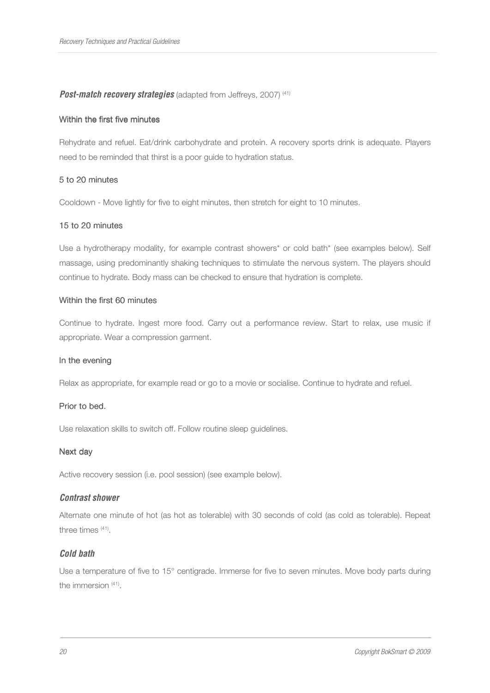## **Post-match recovery strategies** (adapted from Jeffreys, 2007)<sup>(41)</sup>

#### Within the first five minutes

Rehydrate and refuel. Eat/drink carbohydrate and protein. A recovery sports drink is adequate. Players need to be reminded that thirst is a poor guide to hydration status.

#### 5 to 20 minutes 20 minutes

Cooldown - Move lightly for five to eight minutes, then stretch for eight to 10 minutes.

#### 15 to 20 minutes

Use a hydrotherapy modality, for example contrast showers\* or cold bath\* (see examples below). Self massage, using predominantly shaking techniques to stimulate the nervous system. The players should continue to hydrate. Body mass can be checked to ensure that hydration is complete.

#### Within the first 60 minutes

Continue to hydrate. Ingest more food. Carry out a performance review. Start to relax, use music if appropriate. Wear a compression garment.

#### In the evening

Relax as appropriate, for example read or go to a movie or socialise. Continue to hydrate and refuel.

#### Prior to bed.

Use relaxation skills to switch off. Follow routine sleep guidelines.

#### Next day

Active recovery session (i.e. pool session) (see example below).

## **Contrast shower**

Alternate one minute of hot (as hot as tolerable) with 30 seconds of cold (as cold as tolerable). Repeat three times (41) .

## **Cold bath**

Use a temperature of five to 15° centigrade. Immerse for five to seven minutes. Move body parts during the immersion (41).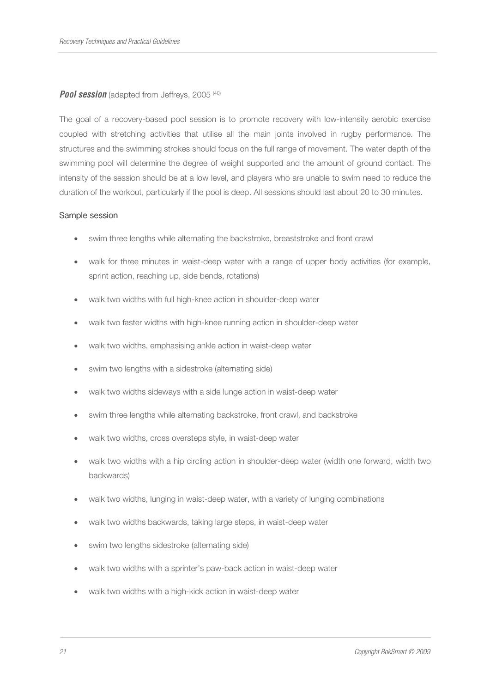# **Pool session** (adapted from Jeffreys, 2005<sup>(40)</sup>

The goal of a recovery-based pool session is to promote recovery with low-intensity aerobic exercise coupled with stretching activities that utilise all the main joints involved in rugby performance. The structures and the swimming strokes should focus on the full range of movement. The water depth of the swimming pool will determine the degree of weight supported and the amount of ground contact. The intensity of the session should be at a low level, and players who are unable to swim need to reduce the duration of the workout, particularly if the pool is deep. All sessions should last about 20 to 30 minutes.

## Sample session

- swim three lengths while alternating the backstroke, breaststroke and front crawl
- walk for three minutes in waist-deep water with a range of upper body activities (for example, sprint action, reaching up, side bends, rotations)
- walk two widths with full high-knee action in shoulder-deep water
- walk two faster widths with high-knee running action in shoulder-deep water
- walk two widths, emphasising ankle action in waist-deep water
- swim two lengths with a sidestroke (alternating side)
- walk two widths sideways with a side lunge action in waist-deep water
- swim three lengths while alternating backstroke, front crawl, and backstroke
- walk two widths, cross oversteps style, in waist-deep water
- walk two widths with a hip circling action in shoulder-deep water (width one forward, width two backwards)
- walk two widths, lunging in waist-deep water, with a variety of lunging combinations
- walk two widths backwards, taking large steps, in waist-deep water
- swim two lengths sidestroke (alternating side)
- walk two widths with a sprinter's paw-back action in waist-deep water
- walk two widths with a high-kick action in waist-deep water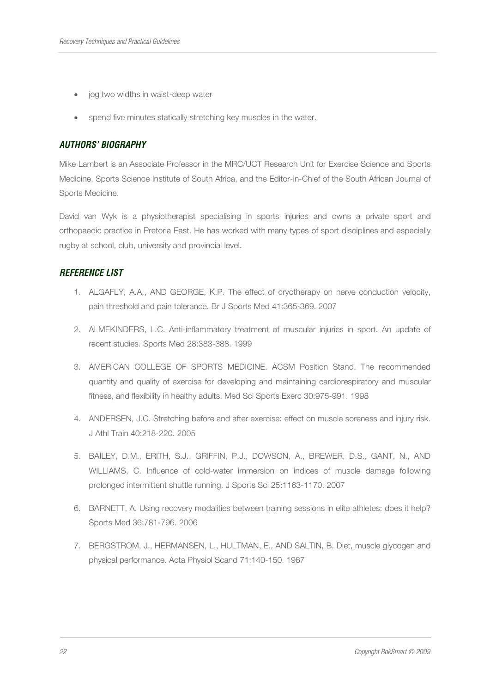- jog two widths in waist-deep water
- spend five minutes statically stretching key muscles in the water.

## **AUTHORS' BIOGRAPHY**

Mike Lambert is an Associate Professor in the MRC/UCT Research Unit for Exercise Science and Sports Medicine, Sports Science Institute of South Africa, and the Editor-in-Chief of the South African Journal of Sports Medicine.

David van Wyk is a physiotherapist specialising in sports injuries and owns a private sport and orthopaedic practice in Pretoria East. He has worked with many types of sport disciplines and especially rugby at school, club, university and provincial level.

# **REFERENCE LIST**

- 1. ALGAFLY, A.A., AND GEORGE, K.P. The effect of cryotherapy on nerve conduction velocity, pain threshold and pain tolerance. Br J Sports Med 41:365-369. 2007
- 2. ALMEKINDERS, L.C. Anti-inflammatory treatment of muscular injuries in sport. An update of recent studies. Sports Med 28:383-388. 1999
- 3. AMERICAN COLLEGE OF SPORTS MEDICINE. ACSM Position Stand. The recommended quantity and quality of exercise for developing and maintaining cardiorespiratory and muscular fitness, and flexibility in healthy adults. Med Sci Sports Exerc 30:975-991. 1998
- 4. ANDERSEN, J.C. Stretching before and after exercise: effect on muscle soreness and injury risk. J Athl Train 40:218-220. 2005
- 5. BAILEY, D.M., ERITH, S.J., GRIFFIN, P.J., DOWSON, A., BREWER, D.S., GANT, N., AND WILLIAMS, C. Influence of cold-water immersion on indices of muscle damage following prolonged intermittent shuttle running. J Sports Sci 25:1163-1170. 2007
- 6. BARNETT, A. Using recovery modalities between training sessions in elite athletes: does it help? Sports Med 36:781-796. 2006
- 7. BERGSTROM, J., HERMANSEN, L., HULTMAN, E., AND SALTIN, B. Diet, muscle glycogen and physical performance. Acta Physiol Scand 71:140-150. 1967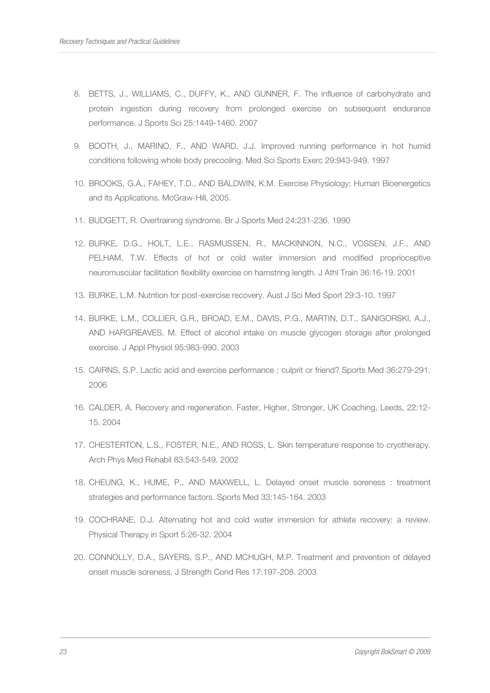- 8. BETTS, J., WILLIAMS, C., DUFFY, K., AND GUNNER, F. The influence of carbohydrate and protein ingestion during recovery from prolonged exercise on subsequent endurance performance. J Sports Sci 25:1449-1460. 2007
- 9. BOOTH, J., MARINO, F., AND WARD, J.J. Improved running performance in hot humid conditions following whole body precooling. Med Sci Sports Exerc 29:943-949. 1997
- 10. BROOKS, G.A., FAHEY, T.D., AND BALDWIN, K.M. Exercise Physiology: Human Bioenergetics and its Applications. McGraw-Hill, 2005.
- 11. BUDGETT, R. Overtraining syndrome. Br J Sports Med 24:231-236. 1990
- 12. BURKE, D.G., HOLT, L.E., RASMUSSEN, R., MACKINNON, N.C., VOSSEN, J.F., AND PELHAM, T.W. Effects of hot or cold water immersion and modified proprioceptive neuromuscular facilitation flexibility exercise on hamstring length. J Athl Train 36:16-19. 2001
- 13. BURKE, L.M. Nutrition for post-exercise recovery. Aust J Sci Med Sport 29:3-10. 1997
- 14. BURKE, L.M., COLLIER, G.R., BROAD, E.M., DAVIS, P.G., MARTIN, D.T., SANIGORSKI, A.J., AND HARGREAVES, M. Effect of alcohol intake on muscle glycogen storage after prolonged exercise. J Appl Physiol 95:983-990. 2003
- 15. CAIRNS, S.P. Lactic acid and exercise performance : culprit or friend? Sports Med 36:279-291. 2006
- 16. CALDER, A. Recovery and regeneration. Faster, Higher, Stronger, UK Coaching, Leeds, 22:12- 15. 2004
- 17. CHESTERTON, L.S., FOSTER, N.E., AND ROSS, L. Skin temperature response to cryotherapy. Arch Phys Med Rehabil 83:543-549. 2002
- 18. CHEUNG, K., HUME, P., AND MAXWELL, L. Delayed onset muscle soreness : treatment strategies and performance factors. Sports Med 33:145-164. 2003
- 19. COCHRANE, D.J. Alternating hot and cold water immersion for athlete recovery: a review. Physical Therapy in Sport 5:26-32. 2004
- 20. CONNOLLY, D.A., SAYERS, S.P., AND MCHUGH, M.P. Treatment and prevention of delayed onset muscle soreness. J Strength Cond Res 17:197-208. 2003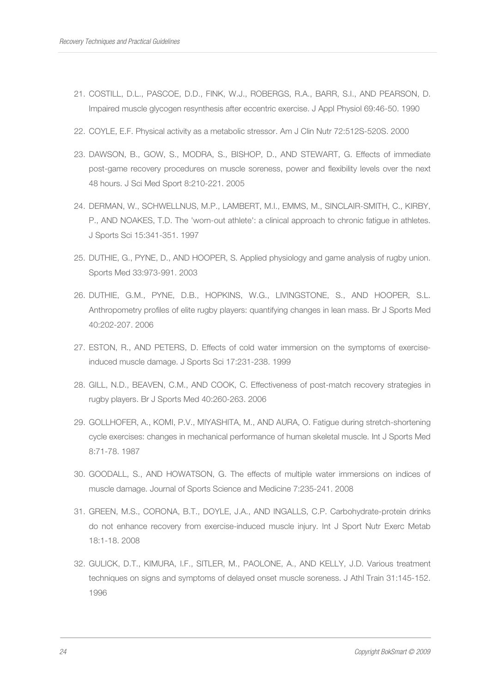- 21. COSTILL, D.L., PASCOE, D.D., FINK, W.J., ROBERGS, R.A., BARR, S.I., AND PEARSON, D. Impaired muscle glycogen resynthesis after eccentric exercise. J Appl Physiol 69:46-50. 1990
- 22. COYLE, E.F. Physical activity as a metabolic stressor. Am J Clin Nutr 72:512S-520S. 2000
- 23. DAWSON, B., GOW, S., MODRA, S., BISHOP, D., AND STEWART, G. Effects of immediate post-game recovery procedures on muscle soreness, power and flexibility levels over the next 48 hours. J Sci Med Sport 8:210-221. 2005
- 24. DERMAN, W., SCHWELLNUS, M.P., LAMBERT, M.I., EMMS, M., SINCLAIR-SMITH, C., KIRBY, P., AND NOAKES, T.D. The 'worn-out athlete': a clinical approach to chronic fatigue in athletes. J Sports Sci 15:341-351. 1997
- 25. DUTHIE, G., PYNE, D., AND HOOPER, S. Applied physiology and game analysis of rugby union. Sports Med 33:973-991. 2003
- 26. DUTHIE, G.M., PYNE, D.B., HOPKINS, W.G., LIVINGSTONE, S., AND HOOPER, S.L. Anthropometry profiles of elite rugby players: quantifying changes in lean mass. Br J Sports Med 40:202-207. 2006
- 27. ESTON, R., AND PETERS, D. Effects of cold water immersion on the symptoms of exerciseinduced muscle damage. J Sports Sci 17:231-238. 1999
- 28. GILL, N.D., BEAVEN, C.M., AND COOK, C. Effectiveness of post-match recovery strategies in rugby players. Br J Sports Med 40:260-263. 2006
- 29. GOLLHOFER, A., KOMI, P.V., MIYASHITA, M., AND AURA, O. Fatigue during stretch-shortening cycle exercises: changes in mechanical performance of human skeletal muscle. Int J Sports Med 8:71-78. 1987
- 30. GOODALL, S., AND HOWATSON, G. The effects of multiple water immersions on indices of muscle damage. Journal of Sports Science and Medicine 7:235-241. 2008
- 31. GREEN, M.S., CORONA, B.T., DOYLE, J.A., AND INGALLS, C.P. Carbohydrate-protein drinks do not enhance recovery from exercise-induced muscle injury. Int J Sport Nutr Exerc Metab 18:1-18. 2008
- 32. GULICK, D.T., KIMURA, I.F., SITLER, M., PAOLONE, A., AND KELLY, J.D. Various treatment techniques on signs and symptoms of delayed onset muscle soreness. J Athl Train 31:145-152. 1996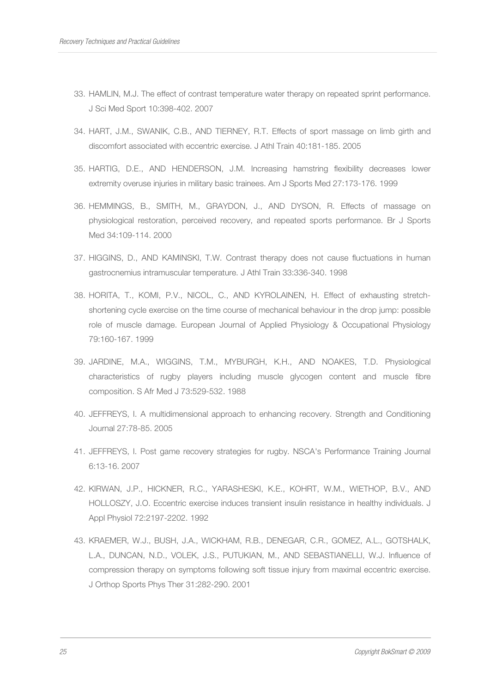- 33. HAMLIN, M.J. The effect of contrast temperature water therapy on repeated sprint performance. J Sci Med Sport 10:398-402. 2007
- 34. HART, J.M., SWANIK, C.B., AND TIERNEY, R.T. Effects of sport massage on limb girth and discomfort associated with eccentric exercise. J Athl Train 40:181-185. 2005
- 35. HARTIG, D.E., AND HENDERSON, J.M. Increasing hamstring flexibility decreases lower extremity overuse injuries in military basic trainees. Am J Sports Med 27:173-176. 1999
- 36. HEMMINGS, B., SMITH, M., GRAYDON, J., AND DYSON, R. Effects of massage on physiological restoration, perceived recovery, and repeated sports performance. Br J Sports Med 34:109-114. 2000
- 37. HIGGINS, D., AND KAMINSKI, T.W. Contrast therapy does not cause fluctuations in human gastrocnemius intramuscular temperature. J Athl Train 33:336-340. 1998
- 38. HORITA, T., KOMI, P.V., NICOL, C., AND KYROLAINEN, H. Effect of exhausting stretchshortening cycle exercise on the time course of mechanical behaviour in the drop jump: possible role of muscle damage. European Journal of Applied Physiology & Occupational Physiology 79:160-167. 1999
- 39. JARDINE, M.A., WIGGINS, T.M., MYBURGH, K.H., AND NOAKES, T.D. Physiological characteristics of rugby players including muscle glycogen content and muscle fibre composition. S Afr Med J 73:529-532. 1988
- 40. JEFFREYS, I. A multidimensional approach to enhancing recovery. Strength and Conditioning Journal 27:78-85. 2005
- 41. JEFFREYS, I. Post game recovery strategies for rugby. NSCA's Performance Training Journal 6:13-16. 2007
- 42. KIRWAN, J.P., HICKNER, R.C., YARASHESKI, K.E., KOHRT, W.M., WIETHOP, B.V., AND HOLLOSZY, J.O. Eccentric exercise induces transient insulin resistance in healthy individuals. J Appl Physiol 72:2197-2202. 1992
- 43. KRAEMER, W.J., BUSH, J.A., WICKHAM, R.B., DENEGAR, C.R., GOMEZ, A.L., GOTSHALK, L.A., DUNCAN, N.D., VOLEK, J.S., PUTUKIAN, M., AND SEBASTIANELLI, W.J. Influence of compression therapy on symptoms following soft tissue injury from maximal eccentric exercise. J Orthop Sports Phys Ther 31:282-290. 2001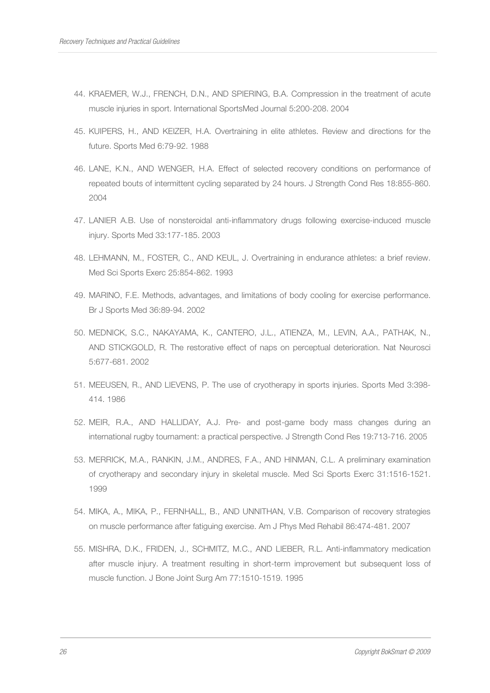- 44. KRAEMER, W.J., FRENCH, D.N., AND SPIERING, B.A. Compression in the treatment of acute muscle injuries in sport. International SportsMed Journal 5:200-208. 2004
- 45. KUIPERS, H., AND KEIZER, H.A. Overtraining in elite athletes. Review and directions for the future. Sports Med 6:79-92. 1988
- 46. LANE, K.N., AND WENGER, H.A. Effect of selected recovery conditions on performance of repeated bouts of intermittent cycling separated by 24 hours. J Strength Cond Res 18:855-860. 2004
- 47. LANIER A.B. Use of nonsteroidal anti-inflammatory drugs following exercise-induced muscle injury. Sports Med 33:177-185. 2003
- 48. LEHMANN, M., FOSTER, C., AND KEUL, J. Overtraining in endurance athletes: a brief review. Med Sci Sports Exerc 25:854-862. 1993
- 49. MARINO, F.E. Methods, advantages, and limitations of body cooling for exercise performance. Br J Sports Med 36:89-94. 2002
- 50. MEDNICK, S.C., NAKAYAMA, K., CANTERO, J.L., ATIENZA, M., LEVIN, A.A., PATHAK, N., AND STICKGOLD, R. The restorative effect of naps on perceptual deterioration. Nat Neurosci 5:677-681. 2002
- 51. MEEUSEN, R., AND LIEVENS, P. The use of cryotherapy in sports injuries. Sports Med 3:398- 414. 1986
- 52. MEIR, R.A., AND HALLIDAY, A.J. Pre- and post-game body mass changes during an international rugby tournament: a practical perspective. J Strength Cond Res 19:713-716. 2005
- 53. MERRICK, M.A., RANKIN, J.M., ANDRES, F.A., AND HINMAN, C.L. A preliminary examination of cryotherapy and secondary injury in skeletal muscle. Med Sci Sports Exerc 31:1516-1521. 1999
- 54. MIKA, A., MIKA, P., FERNHALL, B., AND UNNITHAN, V.B. Comparison of recovery strategies on muscle performance after fatiguing exercise. Am J Phys Med Rehabil 86:474-481. 2007
- 55. MISHRA, D.K., FRIDEN, J., SCHMITZ, M.C., AND LIEBER, R.L. Anti-inflammatory medication after muscle injury. A treatment resulting in short-term improvement but subsequent loss of muscle function. J Bone Joint Surg Am 77:1510-1519. 1995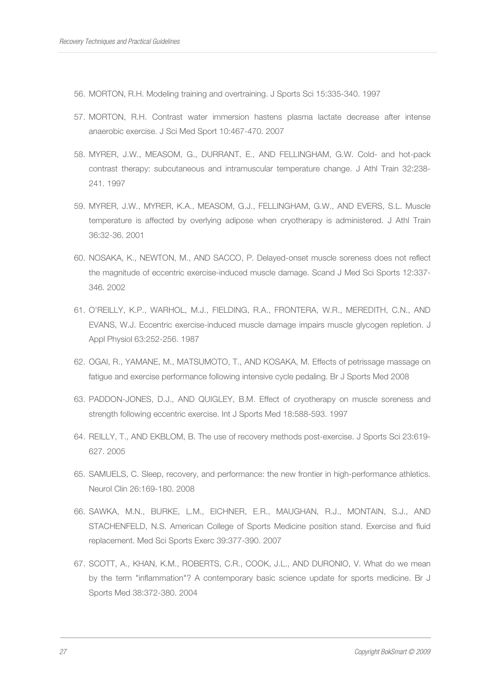- 56. MORTON, R.H. Modeling training and overtraining. J Sports Sci 15:335-340. 1997
- 57. MORTON, R.H. Contrast water immersion hastens plasma lactate decrease after intense anaerobic exercise. J Sci Med Sport 10:467-470. 2007
- 58. MYRER, J.W., MEASOM, G., DURRANT, E., AND FELLINGHAM, G.W. Cold- and hot-pack contrast therapy: subcutaneous and intramuscular temperature change. J Athl Train 32:238- 241. 1997
- 59. MYRER, J.W., MYRER, K.A., MEASOM, G.J., FELLINGHAM, G.W., AND EVERS, S.L. Muscle temperature is affected by overlying adipose when cryotherapy is administered. J Athl Train 36:32-36. 2001
- 60. NOSAKA, K., NEWTON, M., AND SACCO, P. Delayed-onset muscle soreness does not reflect the magnitude of eccentric exercise-induced muscle damage. Scand J Med Sci Sports 12:337- 346. 2002
- 61. O'REILLY, K.P., WARHOL, M.J., FIELDING, R.A., FRONTERA, W.R., MEREDITH, C.N., AND EVANS, W.J. Eccentric exercise-induced muscle damage impairs muscle glycogen repletion. J Appl Physiol 63:252-256. 1987
- 62. OGAI, R., YAMANE, M., MATSUMOTO, T., AND KOSAKA, M. Effects of petrissage massage on fatigue and exercise performance following intensive cycle pedaling. Br J Sports Med 2008
- 63. PADDON-JONES, D.J., AND QUIGLEY, B.M. Effect of cryotherapy on muscle soreness and strength following eccentric exercise. Int J Sports Med 18:588-593. 1997
- 64. REILLY, T., AND EKBLOM, B. The use of recovery methods post-exercise. J Sports Sci 23:619- 627. 2005
- 65. SAMUELS, C. Sleep, recovery, and performance: the new frontier in high-performance athletics. Neurol Clin 26:169-180. 2008
- 66. SAWKA, M.N., BURKE, L.M., EICHNER, E.R., MAUGHAN, R.J., MONTAIN, S.J., AND STACHENFELD, N.S. American College of Sports Medicine position stand. Exercise and fluid replacement. Med Sci Sports Exerc 39:377-390. 2007
- 67. SCOTT, A., KHAN, K.M., ROBERTS, C.R., COOK, J.L., AND DURONIO, V. What do we mean by the term "inflammation"? A contemporary basic science update for sports medicine. Br J Sports Med 38:372-380. 2004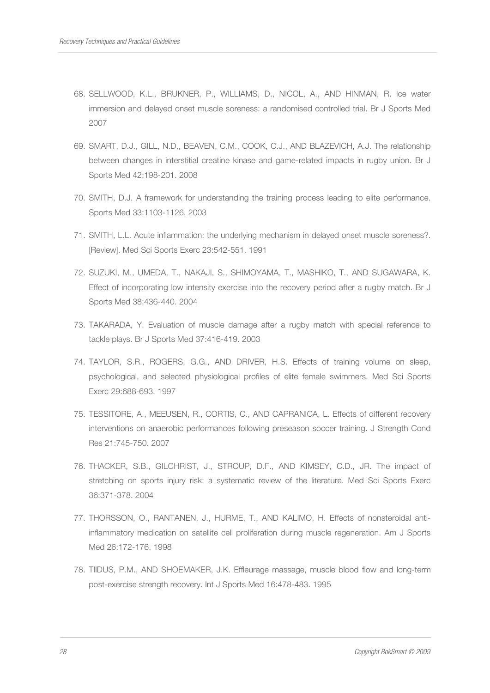- 68. SELLWOOD, K.L., BRUKNER, P., WILLIAMS, D., NICOL, A., AND HINMAN, R. Ice water immersion and delayed onset muscle soreness: a randomised controlled trial. Br J Sports Med 2007
- 69. SMART, D.J., GILL, N.D., BEAVEN, C.M., COOK, C.J., AND BLAZEVICH, A.J. The relationship between changes in interstitial creatine kinase and game-related impacts in rugby union. Br J Sports Med 42:198-201. 2008
- 70. SMITH, D.J. A framework for understanding the training process leading to elite performance. Sports Med 33:1103-1126. 2003
- 71. SMITH, L.L. Acute inflammation: the underlying mechanism in delayed onset muscle soreness?. [Review]. Med Sci Sports Exerc 23:542-551. 1991
- 72. SUZUKI, M., UMEDA, T., NAKAJI, S., SHIMOYAMA, T., MASHIKO, T., AND SUGAWARA, K. Effect of incorporating low intensity exercise into the recovery period after a rugby match. Br J Sports Med 38:436-440. 2004
- 73. TAKARADA, Y. Evaluation of muscle damage after a rugby match with special reference to tackle plays. Br J Sports Med 37:416-419. 2003
- 74. TAYLOR, S.R., ROGERS, G.G., AND DRIVER, H.S. Effects of training volume on sleep, psychological, and selected physiological profiles of elite female swimmers. Med Sci Sports Exerc 29:688-693. 1997
- 75. TESSITORE, A., MEEUSEN, R., CORTIS, C., AND CAPRANICA, L. Effects of different recovery interventions on anaerobic performances following preseason soccer training. J Strength Cond Res 21:745-750. 2007
- 76. THACKER, S.B., GILCHRIST, J., STROUP, D.F., AND KIMSEY, C.D., JR. The impact of stretching on sports injury risk: a systematic review of the literature. Med Sci Sports Exerc 36:371-378. 2004
- 77. THORSSON, O., RANTANEN, J., HURME, T., AND KALIMO, H. Effects of nonsteroidal antiinflammatory medication on satellite cell proliferation during muscle regeneration. Am J Sports Med 26:172-176. 1998
- 78. TIIDUS, P.M., AND SHOEMAKER, J.K. Effleurage massage, muscle blood flow and long-term post-exercise strength recovery. Int J Sports Med 16:478-483. 1995